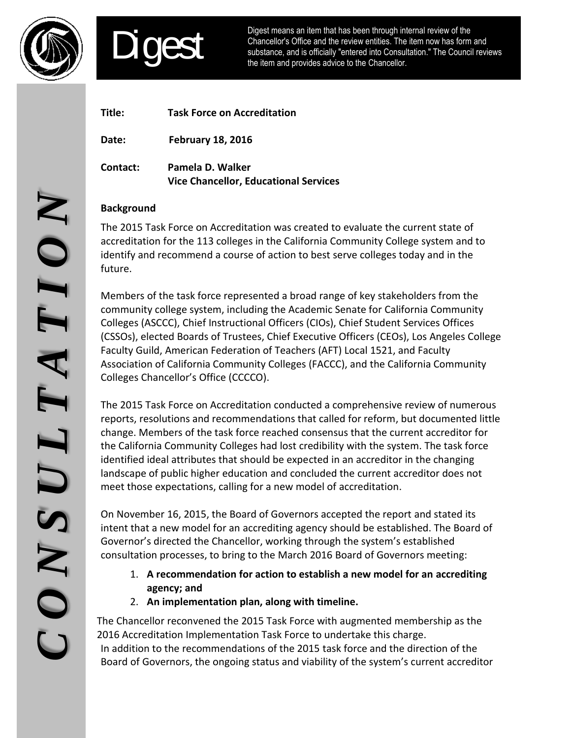



Digest means an item that has been through internal review of the Chancellor's Office and the review entities. The item now has form and substance, and is officially "entered into Consultation." The Council reviews the item and provides advice to the Chancellor.

| Title:   | <b>Task Force on Accreditation</b>                               |
|----------|------------------------------------------------------------------|
| Date:    | <b>February 18, 2016</b>                                         |
| Contact: | Pamela D. Walker<br><b>Vice Chancellor, Educational Services</b> |

## **Background**

The 2015 Task Force on Accreditation was created to evaluate the current state of accreditation for the 113 colleges in the California Community College system and to identify and recommend a course of action to best serve colleges today and in the future.

Members of the task force represented a broad range of key stakeholders from the community college system, including the Academic Senate for California Community Colleges (ASCCC), Chief Instructional Officers (CIOs), Chief Student Services Offices (CSSOs), elected Boards of Trustees, Chief Executive Officers (CEOs), Los Angeles College Faculty Guild, American Federation of Teachers (AFT) Local 1521, and Faculty Association of California Community Colleges (FACCC), and the California Community Colleges Chancellor's Office (CCCCO). Background<br>
The Co15 Task Force on Accreditation was created to evaluate the current state of<br>
The California Commenta a course of action to best serve colleges today and in the<br>
flutne.<br>
If thure,<br>
If the task force repre

The 2015 Task Force on Accreditation conducted a comprehensive review of numerous reports, resolutions and recommendations that called for reform, but documented little change. Members of the task force reached consensus that the current accreditor for the California Community Colleges had lost credibility with the system. The task force identified ideal attributes that should be expected in an accreditor in the changing landscape of public higher education and concluded the current accreditor does not meet those expectations, calling for a new model of accreditation.

On November 16, 2015, the Board of Governors accepted the report and stated its intent that a new model for an accrediting agency should be established. The Board of Governor's directed the Chancellor, working through the system's established consultation processes, to bring to the March 2016 Board of Governors meeting:

- 1. **A recommendation for action to establish a new model for an accrediting agency; and**
- 2. **An implementation plan, along with timeline.**

 2016 Accreditation Implementation Task Force to undertake this charge. In addition to the recommendations of the 2015 task force and the direction of the Board of Governors, the ongoing status and viability of the system's current accreditor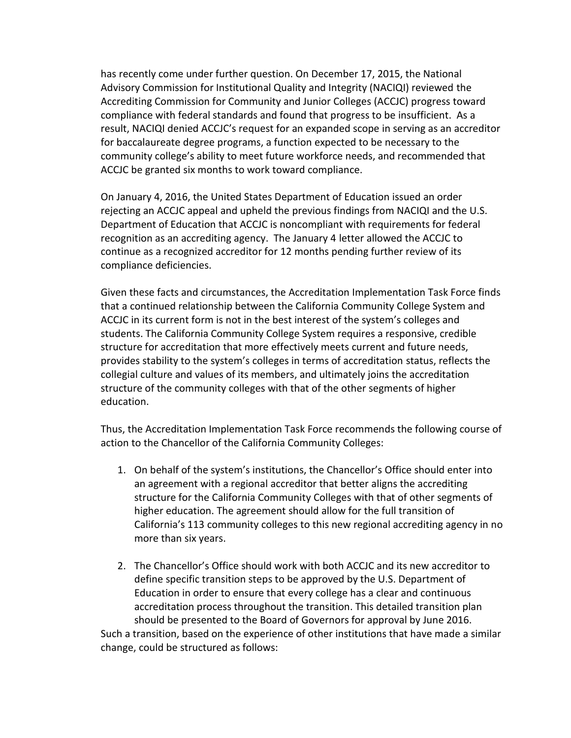has recently come under further question. On December 17, 2015, the National Advisory Commission for Institutional Quality and Integrity (NACIQI) reviewed the Accrediting Commission for Community and Junior Colleges (ACCJC) progress toward compliance with federal standards and found that progress to be insufficient. As a result, NACIQI denied ACCJC's request for an expanded scope in serving as an accreditor for baccalaureate degree programs, a function expected to be necessary to the community college's ability to meet future workforce needs, and recommended that ACCJC be granted six months to work toward compliance.

On January 4, 2016, the United States Department of Education issued an order rejecting an ACCJC appeal and upheld the previous findings from NACIQI and the U.S. Department of Education that ACCJC is noncompliant with requirements for federal recognition as an accrediting agency. The January 4 letter allowed the ACCJC to continue as a recognized accreditor for 12 months pending further review of its compliance deficiencies.

Given these facts and circumstances, the Accreditation Implementation Task Force finds that a continued relationship between the California Community College System and ACCJC in its current form is not in the best interest of the system's colleges and students. The California Community College System requires a responsive, credible structure for accreditation that more effectively meets current and future needs, provides stability to the system's colleges in terms of accreditation status, reflects the collegial culture and values of its members, and ultimately joins the accreditation structure of the community colleges with that of the other segments of higher education.

Thus, the Accreditation Implementation Task Force recommends the following course of action to the Chancellor of the California Community Colleges:

- 1. On behalf of the system's institutions, the Chancellor's Office should enter into an agreement with a regional accreditor that better aligns the accrediting structure for the California Community Colleges with that of other segments of higher education. The agreement should allow for the full transition of California's 113 community colleges to this new regional accrediting agency in no more than six years.
- 2. The Chancellor's Office should work with both ACCJC and its new accreditor to define specific transition steps to be approved by the U.S. Department of Education in order to ensure that every college has a clear and continuous accreditation process throughout the transition. This detailed transition plan should be presented to the Board of Governors for approval by June 2016. Such a transition, based on the experience of other institutions that have made a similar change, could be structured as follows: